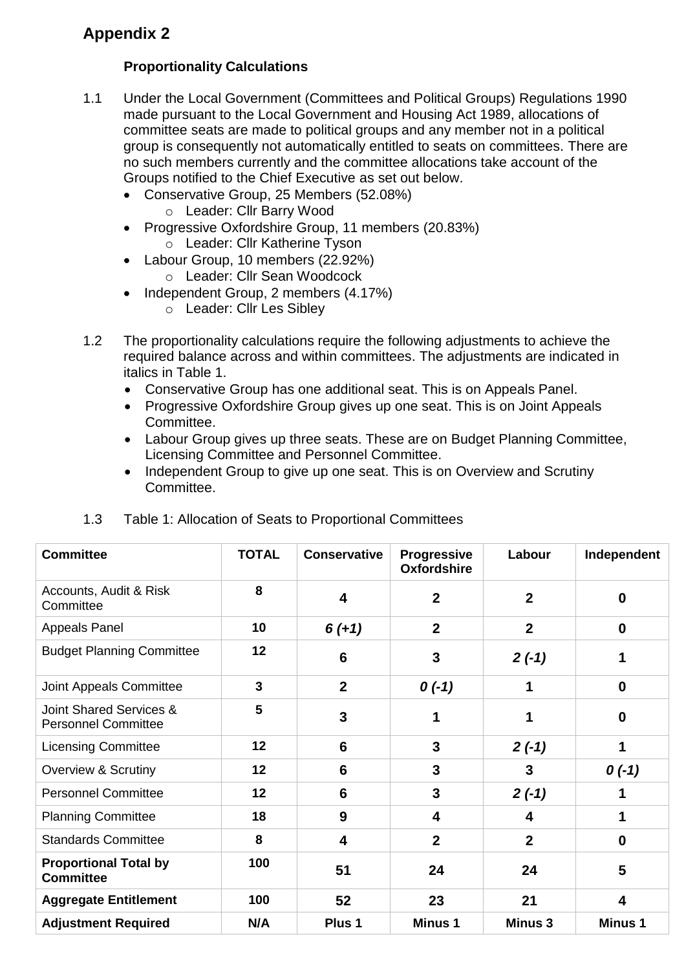## **Appendix 2**

## **Proportionality Calculations**

- 1.1 Under the Local Government (Committees and Political Groups) Regulations 1990 made pursuant to the Local Government and Housing Act 1989, allocations of committee seats are made to political groups and any member not in a political group is consequently not automatically entitled to seats on committees. There are no such members currently and the committee allocations take account of the Groups notified to the Chief Executive as set out below.
	- Conservative Group, 25 Members (52.08%)
		- o Leader: Cllr Barry Wood
	- Progressive Oxfordshire Group, 11 members (20.83%) o Leader: Cllr Katherine Tyson
	- Labour Group, 10 members (22.92%) o Leader: Cllr Sean Woodcock
	- Independent Group, 2 members (4.17%)
		- o Leader: Cllr Les Sibley
- 1.2 The proportionality calculations require the following adjustments to achieve the required balance across and within committees. The adjustments are indicated in italics in Table 1.
	- Conservative Group has one additional seat. This is on Appeals Panel.
	- Progressive Oxfordshire Group gives up one seat. This is on Joint Appeals Committee.
	- Labour Group gives up three seats. These are on Budget Planning Committee, Licensing Committee and Personnel Committee.
	- Independent Group to give up one seat. This is on Overview and Scrutiny Committee.

| <b>Committee</b>                                                 | <b>TOTAL</b> | <b>Conservative</b>     | <b>Progressive</b><br>Oxfordshire | Labour           | Independent    |
|------------------------------------------------------------------|--------------|-------------------------|-----------------------------------|------------------|----------------|
| Accounts, Audit & Risk<br>Committee                              | 8            | 4                       | $\mathbf{2}$                      | $\overline{2}$   | 0              |
| <b>Appeals Panel</b>                                             | 10           | $6 (+ 1)$               | $\mathbf{2}$                      | $\boldsymbol{2}$ | $\mathbf 0$    |
| <b>Budget Planning Committee</b>                                 | 12           | 6                       | 3                                 | $2(-1)$          | 1              |
| Joint Appeals Committee                                          | $\mathbf{3}$ | $\overline{2}$          | $0(-1)$                           | 1                | 0              |
| <b>Joint Shared Services &amp;</b><br><b>Personnel Committee</b> | 5            | 3                       |                                   |                  | 0              |
| <b>Licensing Committee</b>                                       | 12           | 6                       | $\mathbf{3}$                      | $2(-1)$          | 1              |
| <b>Overview &amp; Scrutiny</b>                                   | 12           | $6\phantom{1}$          | 3                                 | 3                | $0(-1)$        |
| <b>Personnel Committee</b>                                       | 12           | 6                       | 3                                 | $2(-1)$          | 1              |
| <b>Planning Committee</b>                                        | 18           | 9                       | 4                                 | 4                |                |
| <b>Standards Committee</b>                                       | 8            | $\overline{\mathbf{4}}$ | $\overline{2}$                    | $\overline{2}$   | $\mathbf 0$    |
| <b>Proportional Total by</b><br><b>Committee</b>                 | 100          | 51                      | 24                                | 24               | 5              |
| <b>Aggregate Entitlement</b>                                     | 100          | 52                      | 23                                | 21               | 4              |
| <b>Adjustment Required</b>                                       | N/A          | Plus 1                  | <b>Minus 1</b>                    | <b>Minus 3</b>   | <b>Minus 1</b> |

## 1.3 Table 1: Allocation of Seats to Proportional Committees